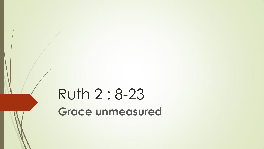# Ruth 2 : 8-23 **Grace unmeasured**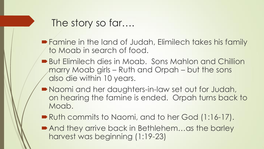#### The story so far….

- **Famine in the land of Judah, Elimilech takes his family** to Moab in search of food.
- But Elimilech dies in Moab. Sons Mahlon and Chillion marry Moab girls – Ruth and Orpah – but the sons also die within 10 years.
- Naomi and her daughters-in-law set out for Judah, on hearing the famine is ended. Orpah turns back to Moab.
- Ruth commits to Naomi, and to her God (1:16-17).
- And they arrive back in Bethlehem...as the barley harvest was beginning (1:19-23)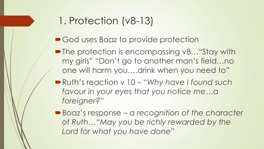### 1. Protection (v8-13)

- God uses Boaz to provide protection
- The protection is encompassing v8... "Stay with my girls" "Don't go to another man's field…no one will harm you….drink when you need to"
- Ruth's reaction v 10 "*Why have I found such favour in your eyes that you notice me…a foreigner?"*
- Boaz's response a recognition of the character *of Ruth…"May you be richly rewarded by the Lord for what you have done"*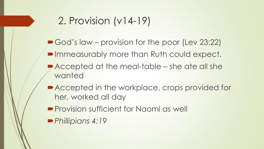### 2. Provision (v14-19)

- God's law provision for the poor (Lev 23:22)
- Immeasurably more than Ruth could expect.
- Accepted at the meal-table she ate all she wanted
- Accepted in the workplace, crops provided for her, worked all day
- **Provision sufficient for Naomi as well**
- *Phillipians 4:19*